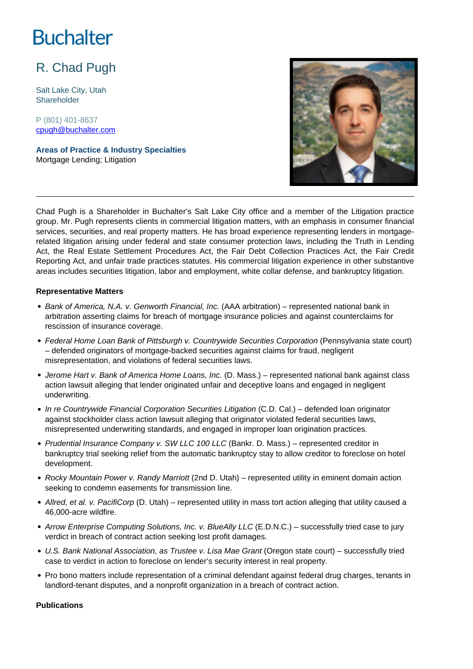# **Buchalter**

## R. Chad Pugh

Salt Lake City, Utah Shareholder

P (801) 401-8637 cpugh@buchalter.com

**Areas of Practice & Industry Specialties** Mortgage Lending; Litigation



Chad Pugh is a Shareholder in Buchalter's Salt Lake City office and a member of the Litigation practice group. Mr. Pugh represents clients in commercial litigation matters, with an emphasis in consumer financial services, securities, and real property matters. He has broad experience representing lenders in mortgagerelated litigation arising under federal and state consumer protection laws, including the Truth in Lending Act, the Real Estate Settlement Procedures Act, the Fair Debt Collection Practices Act, the Fair Credit Reporting Act, and unfair trade practices statutes. His commercial litigation experience in other substantive areas includes securities litigation, labor and employment, white collar defense, and bankruptcy litigation.

#### **Representative Matters**

- Bank of America, N.A. v. Genworth Financial, Inc. (AAA arbitration) represented national bank in arbitration asserting claims for breach of mortgage insurance policies and against counterclaims for rescission of insurance coverage.
- Federal Home Loan Bank of Pittsburgh v. Countrywide Securities Corporation (Pennsylvania state court) – defended originators of mortgage-backed securities against claims for fraud, negligent misrepresentation, and violations of federal securities laws.
- Jerome Hart v. Bank of America Home Loans, Inc. (D. Mass.) represented national bank against class action lawsuit alleging that lender originated unfair and deceptive loans and engaged in negligent underwriting.
- In re Countrywide Financial Corporation Securities Litigation (C.D. Cal.) defended loan originator against stockholder class action lawsuit alleging that originator violated federal securities laws, misrepresented underwriting standards, and engaged in improper loan origination practices.
- Prudential Insurance Company v. SW LLC 100 LLC (Bankr. D. Mass.) represented creditor in bankruptcy trial seeking relief from the automatic bankruptcy stay to allow creditor to foreclose on hotel development.
- Rocky Mountain Power v. Randy Marriott (2nd D. Utah) represented utility in eminent domain action seeking to condemn easements for transmission line.
- Allred, et al. v. PacifiCorp (D. Utah) represented utility in mass tort action alleging that utility caused a 46,000-acre wildfire.
- Arrow Enterprise Computing Solutions, Inc. v. BlueAlly LLC (E.D.N.C.) successfully tried case to jury verdict in breach of contract action seeking lost profit damages.
- U.S. Bank National Association, as Trustee v. Lisa Mae Grant (Oregon state court) successfully tried case to verdict in action to foreclose on lender's security interest in real property.
- Pro bono matters include representation of a criminal defendant against federal drug charges, tenants in landlord-tenant disputes, and a nonprofit organization in a breach of contract action.

**Publications**